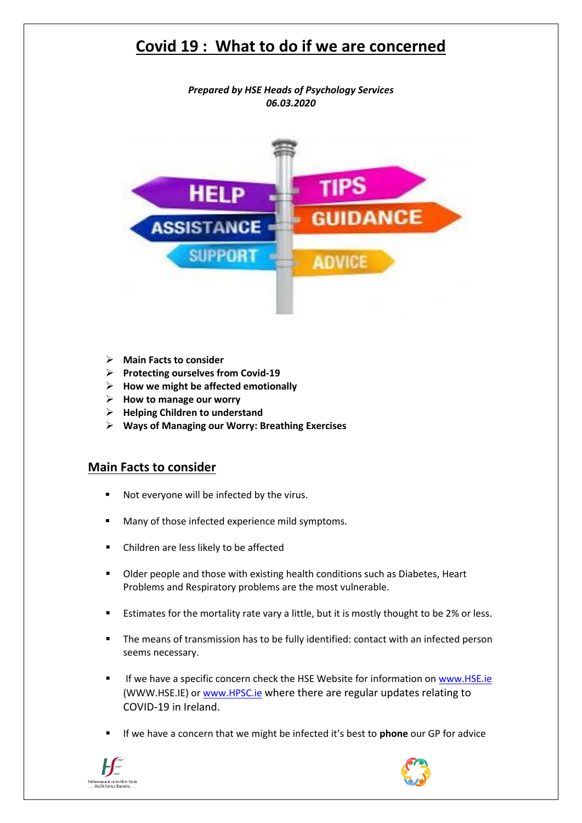*Prepared by HSE Heads of Psychology Services 06.03.2020*



- **Main Facts to consider**
- **Protecting ourselves from Covid-19**
- **How we might be affected emotionally**
- **How to manage our worry**
- **Helping Children to understand**
- **Ways of Managing our Worry: Breathing Exercises**

### **Main Facts to consider**

- Not everyone will be infected by the virus.
- Many of those infected experience mild symptoms.
- Children are less likely to be affected
- Older people and those with existing health conditions such as Diabetes, Heart Problems and Respiratory problems are the most vulnerable.
- Estimates for the mortality rate vary a little, but it is mostly thought to be 2% or less.
- The means of transmission has to be fully identified: contact with an infected person seems necessary.
- If we have a specific concern check the HSE Website for information on www.HSE.ie (WWW.HSE.IE) o[r www.HPSC.ie](http://www.hpsc.ie/) where there are regular updates relating to COVID-19 in Ireland.
- If we have a concern that we might be infected it's best to **phone** our GP for advice



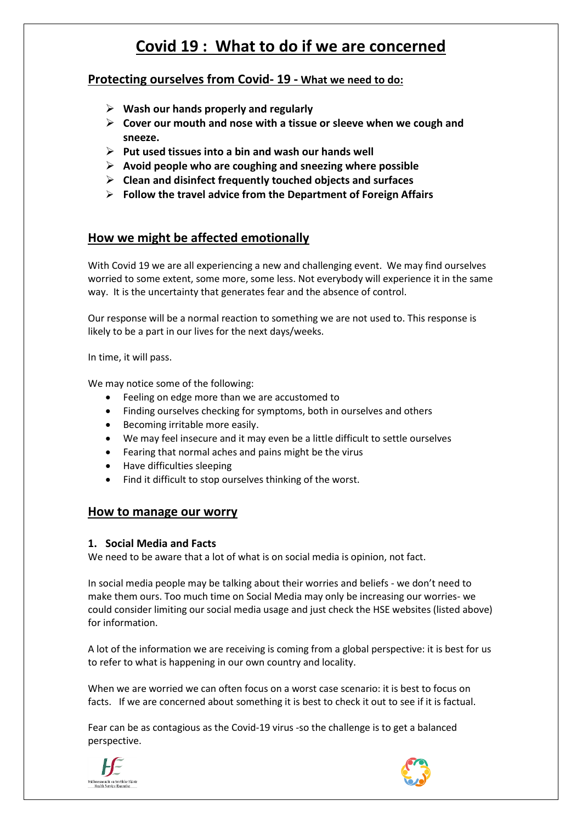### **Protecting ourselves from Covid- 19 - What we need to do:**

- **Wash our hands properly and regularly**
- **Cover our mouth and nose with a tissue or sleeve when we cough and sneeze.**
- **Put used tissues into a bin and wash our hands well**
- **Avoid people who are coughing and sneezing where possible**
- **Clean and disinfect frequently touched objects and surfaces**
- **Follow the travel advice from the Department of Foreign Affairs**

## **How we might be affected emotionally**

With Covid 19 we are all experiencing a new and challenging event. We may find ourselves worried to some extent, some more, some less. Not everybody will experience it in the same way. It is the uncertainty that generates fear and the absence of control.

Our response will be a normal reaction to something we are not used to. This response is likely to be a part in our lives for the next days/weeks.

In time, it will pass.

We may notice some of the following:

- Feeling on edge more than we are accustomed to
- Finding ourselves checking for symptoms, both in ourselves and others
- Becoming irritable more easily.
- We may feel insecure and it may even be a little difficult to settle ourselves
- Fearing that normal aches and pains might be the virus
- Have difficulties sleeping
- Find it difficult to stop ourselves thinking of the worst.

#### **How to manage our worry**

#### **1. Social Media and Facts**

We need to be aware that a lot of what is on social media is opinion, not fact.

In social media people may be talking about their worries and beliefs - we don't need to make them ours. Too much time on Social Media may only be increasing our worries- we could consider limiting our social media usage and just check the HSE websites (listed above) for information.

A lot of the information we are receiving is coming from a global perspective: it is best for us to refer to what is happening in our own country and locality.

When we are worried we can often focus on a worst case scenario: it is best to focus on facts. If we are concerned about something it is best to check it out to see if it is factual.

Fear can be as contagious as the Covid-19 virus -so the challenge is to get a balanced perspective.



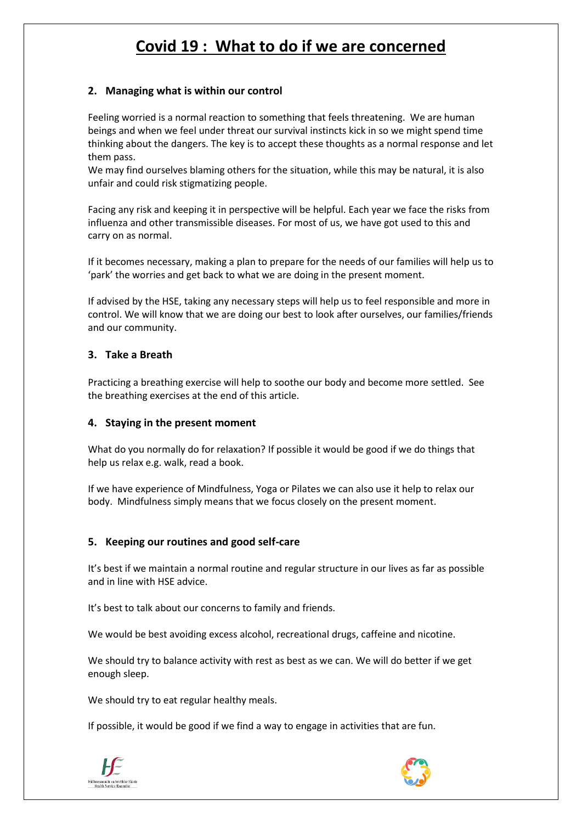### **2. Managing what is within our control**

Feeling worried is a normal reaction to something that feels threatening. We are human beings and when we feel under threat our survival instincts kick in so we might spend time thinking about the dangers. The key is to accept these thoughts as a normal response and let them pass.

We may find ourselves blaming others for the situation, while this may be natural, it is also unfair and could risk stigmatizing people.

Facing any risk and keeping it in perspective will be helpful. Each year we face the risks from influenza and other transmissible diseases. For most of us, we have got used to this and carry on as normal.

If it becomes necessary, making a plan to prepare for the needs of our families will help us to 'park' the worries and get back to what we are doing in the present moment.

If advised by the HSE, taking any necessary steps will help us to feel responsible and more in control. We will know that we are doing our best to look after ourselves, our families/friends and our community.

#### **3. Take a Breath**

Practicing a breathing exercise will help to soothe our body and become more settled. See the breathing exercises at the end of this article.

#### **4. Staying in the present moment**

What do you normally do for relaxation? If possible it would be good if we do things that help us relax e.g. walk, read a book.

If we have experience of Mindfulness, Yoga or Pilates we can also use it help to relax our body. Mindfulness simply means that we focus closely on the present moment.

#### **5. Keeping our routines and good self-care**

It's best if we maintain a normal routine and regular structure in our lives as far as possible and in line with HSE advice.

It's best to talk about our concerns to family and friends.

We would be best avoiding excess alcohol, recreational drugs, caffeine and nicotine.

We should try to balance activity with rest as best as we can. We will do better if we get enough sleep.

We should try to eat regular healthy meals.

If possible, it would be good if we find a way to engage in activities that are fun.



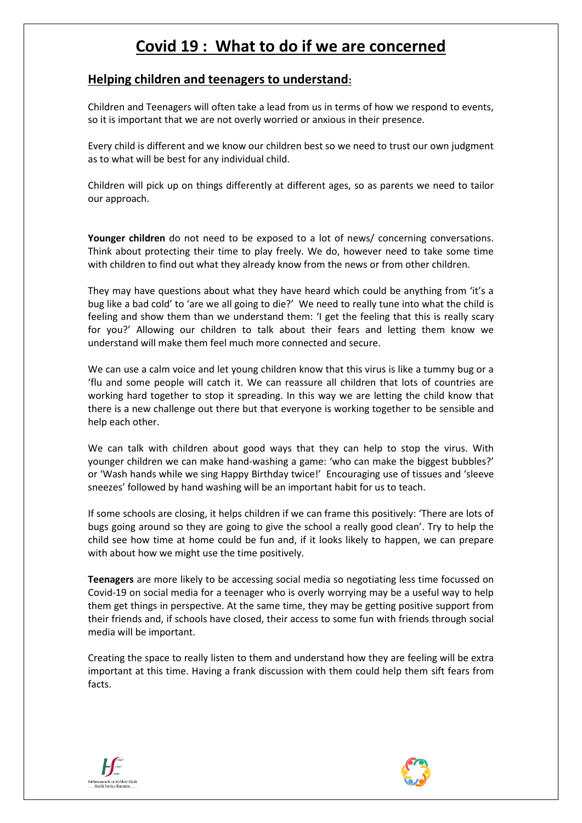### **Helping children and teenagers to understand:**

Children and Teenagers will often take a lead from us in terms of how we respond to events, so it is important that we are not overly worried or anxious in their presence.

Every child is different and we know our children best so we need to trust our own judgment as to what will be best for any individual child.

Children will pick up on things differently at different ages, so as parents we need to tailor our approach.

**Younger children** do not need to be exposed to a lot of news/ concerning conversations. Think about protecting their time to play freely. We do, however need to take some time with children to find out what they already know from the news or from other children.

They may have questions about what they have heard which could be anything from 'it's a bug like a bad cold' to 'are we all going to die?' We need to really tune into what the child is feeling and show them than we understand them: 'I get the feeling that this is really scary for you?' Allowing our children to talk about their fears and letting them know we understand will make them feel much more connected and secure.

We can use a calm voice and let young children know that this virus is like a tummy bug or a 'flu and some people will catch it. We can reassure all children that lots of countries are working hard together to stop it spreading. In this way we are letting the child know that there is a new challenge out there but that everyone is working together to be sensible and help each other.

We can talk with children about good ways that they can help to stop the virus. With younger children we can make hand-washing a game: 'who can make the biggest bubbles?' or 'Wash hands while we sing Happy Birthday twice!' Encouraging use of tissues and 'sleeve sneezes' followed by hand washing will be an important habit for us to teach.

If some schools are closing, it helps children if we can frame this positively: 'There are lots of bugs going around so they are going to give the school a really good clean'. Try to help the child see how time at home could be fun and, if it looks likely to happen, we can prepare with about how we might use the time positively.

**Teenagers** are more likely to be accessing social media so negotiating less time focussed on Covid-19 on social media for a teenager who is overly worrying may be a useful way to help them get things in perspective. At the same time, they may be getting positive support from their friends and, if schools have closed, their access to some fun with friends through social media will be important.

Creating the space to really listen to them and understand how they are feeling will be extra important at this time. Having a frank discussion with them could help them sift fears from facts.